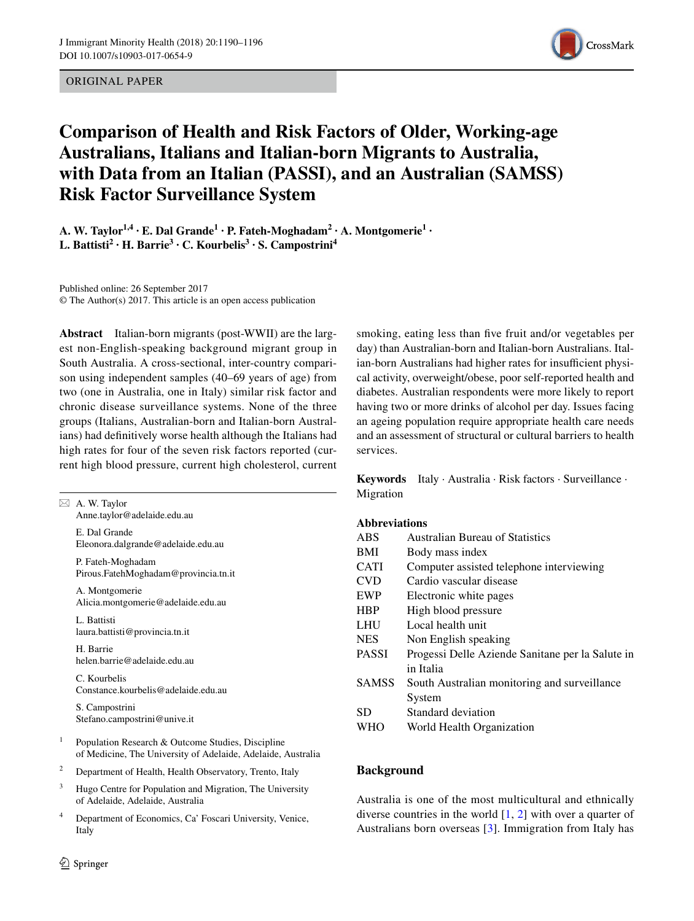ORIGINAL PAPER



# **Comparison of Health and Risk Factors of Older, Working-age Australians, Italians and Italian-born Migrants to Australia, with Data from an Italian (PASSI), and an Australian (SAMSS) Risk Factor Surveillance System**

**A. W. Taylor1,4 · E. Dal Grande1 · P. Fateh-Moghadam2 · A. Montgomerie1 · L. Battisti<sup>2</sup> · H. Barrie<sup>3</sup> · C. Kourbelis3 · S. Campostrini4**

Published online: 26 September 2017 © The Author(s) 2017. This article is an open access publication

**Abstract** Italian-born migrants (post-WWII) are the largest non-English-speaking background migrant group in South Australia. A cross-sectional, inter-country comparison using independent samples (40–69 years of age) from two (one in Australia, one in Italy) similar risk factor and chronic disease surveillance systems. None of the three groups (Italians, Australian-born and Italian-born Australians) had definitively worse health although the Italians had high rates for four of the seven risk factors reported (current high blood pressure, current high cholesterol, current

|   | $\boxtimes$ A. W. Taylor<br>Anne.taylor@adelaide.edu.au                                                           |
|---|-------------------------------------------------------------------------------------------------------------------|
|   | E. Dal Grande<br>Eleonora.dalgrande@adelaide.edu.au                                                               |
|   | P. Fateh-Moghadam<br>Pirous.FatehMoghadam@provincia.tn.it                                                         |
|   | A. Montgomerie<br>Alicia.montgomerie@adelaide.edu.au                                                              |
|   | L. Battisti<br>laura.battisti@provincia.tn.it                                                                     |
|   | H. Barrie<br>helen.barrie@adelaide.edu.au                                                                         |
|   | C. Kourbelis<br>Constance, kourbelis @adelaide, edu, au                                                           |
|   | S. Campostrini<br>Stefano.campostrini@unive.it                                                                    |
| 1 | Population Research & Outcome Studies, Discipline<br>of Medicine, The University of Adelaide, Adelaide, Australia |
|   |                                                                                                                   |

- <sup>2</sup> Department of Health, Health Observatory, Trento, Italy
- <sup>3</sup> Hugo Centre for Population and Migration, The University of Adelaide, Adelaide, Australia
- <sup>4</sup> Department of Economics, Ca' Foscari University, Venice, Italy

 $\circled{2}$  Springer

smoking, eating less than five fruit and/or vegetables per day) than Australian-born and Italian-born Australians. Italian-born Australians had higher rates for insufficient physical activity, overweight/obese, poor self-reported health and diabetes. Australian respondents were more likely to report having two or more drinks of alcohol per day. Issues facing an ageing population require appropriate health care needs and an assessment of structural or cultural barriers to health services.

**Keywords** Italy · Australia · Risk factors · Surveillance · Migration

# **Abbreviations**

| <b>ABS</b>   | <b>Australian Bureau of Statistics</b>           |
|--------------|--------------------------------------------------|
| <b>BMI</b>   | Body mass index                                  |
| <b>CATI</b>  | Computer assisted telephone interviewing         |
| <b>CVD</b>   | Cardio vascular disease                          |
| <b>EWP</b>   | Electronic white pages                           |
| <b>HBP</b>   | High blood pressure                              |
| LHU          | Local health unit                                |
| <b>NES</b>   | Non English speaking                             |
| <b>PASSI</b> | Progessi Delle Aziende Sanitane per la Salute in |
|              | in Italia                                        |
| <b>SAMSS</b> | South Australian monitoring and surveillance     |
|              | System                                           |
| <b>SD</b>    | Standard deviation                               |
| WHO          | World Health Organization                        |
|              |                                                  |

# **Background**

Australia is one of the most multicultural and ethnically diverse countries in the world  $[1, 2]$  $[1, 2]$  $[1, 2]$  $[1, 2]$  $[1, 2]$  with over a quarter of Australians born overseas [\[3](#page-6-2)]. Immigration from Italy has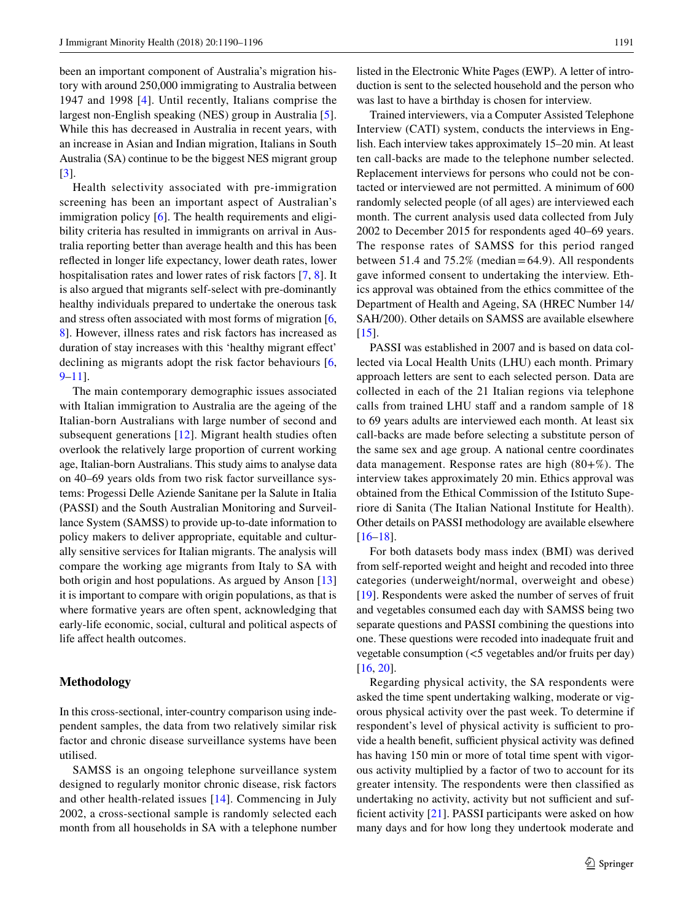been an important component of Australia's migration history with around 250,000 immigrating to Australia between 1947 and 1998 [\[4\]](#page-6-3). Until recently, Italians comprise the largest non-English speaking (NES) group in Australia [\[5](#page-6-4)]. While this has decreased in Australia in recent years, with an increase in Asian and Indian migration, Italians in South Australia (SA) continue to be the biggest NES migrant group [\[3](#page-6-2)].

Health selectivity associated with pre-immigration screening has been an important aspect of Australian's immigration policy [\[6](#page-6-5)]. The health requirements and eligibility criteria has resulted in immigrants on arrival in Australia reporting better than average health and this has been reflected in longer life expectancy, lower death rates, lower hospitalisation rates and lower rates of risk factors [[7,](#page-6-6) [8\]](#page-6-7). It is also argued that migrants self-select with pre-dominantly healthy individuals prepared to undertake the onerous task and stress often associated with most forms of migration [[6,](#page-6-5) [8](#page-6-7)]. However, illness rates and risk factors has increased as duration of stay increases with this 'healthy migrant effect' declining as migrants adopt the risk factor behaviours [\[6,](#page-6-5) [9](#page-6-8)[–11](#page-6-9)].

The main contemporary demographic issues associated with Italian immigration to Australia are the ageing of the Italian-born Australians with large number of second and subsequent generations [\[12](#page-6-10)]. Migrant health studies often overlook the relatively large proportion of current working age, Italian-born Australians. This study aims to analyse data on 40–69 years olds from two risk factor surveillance systems: Progessi Delle Aziende Sanitane per la Salute in Italia (PASSI) and the South Australian Monitoring and Surveillance System (SAMSS) to provide up-to-date information to policy makers to deliver appropriate, equitable and culturally sensitive services for Italian migrants. The analysis will compare the working age migrants from Italy to SA with both origin and host populations. As argued by Anson [[13\]](#page-6-11) it is important to compare with origin populations, as that is where formative years are often spent, acknowledging that early-life economic, social, cultural and political aspects of life affect health outcomes.

## **Methodology**

In this cross-sectional, inter-country comparison using independent samples, the data from two relatively similar risk factor and chronic disease surveillance systems have been utilised.

SAMSS is an ongoing telephone surveillance system designed to regularly monitor chronic disease, risk factors and other health-related issues [[14](#page-6-12)]. Commencing in July 2002, a cross-sectional sample is randomly selected each month from all households in SA with a telephone number listed in the Electronic White Pages (EWP). A letter of introduction is sent to the selected household and the person who was last to have a birthday is chosen for interview.

Trained interviewers, via a Computer Assisted Telephone Interview (CATI) system, conducts the interviews in English. Each interview takes approximately 15–20 min. At least ten call-backs are made to the telephone number selected. Replacement interviews for persons who could not be contacted or interviewed are not permitted. A minimum of 600 randomly selected people (of all ages) are interviewed each month. The current analysis used data collected from July 2002 to December 2015 for respondents aged 40–69 years. The response rates of SAMSS for this period ranged between 51.4 and  $75.2\%$  (median = 64.9). All respondents gave informed consent to undertaking the interview. Ethics approval was obtained from the ethics committee of the Department of Health and Ageing, SA (HREC Number 14/ SAH/200). Other details on SAMSS are available elsewhere  $[15]$  $[15]$ .

PASSI was established in 2007 and is based on data collected via Local Health Units (LHU) each month. Primary approach letters are sent to each selected person. Data are collected in each of the 21 Italian regions via telephone calls from trained LHU staff and a random sample of 18 to 69 years adults are interviewed each month. At least six call-backs are made before selecting a substitute person of the same sex and age group. A national centre coordinates data management. Response rates are high  $(80+\%)$ . The interview takes approximately 20 min. Ethics approval was obtained from the Ethical Commission of the Istituto Superiore di Sanita (The Italian National Institute for Health). Other details on PASSI methodology are available elsewhere  $[16–18]$  $[16–18]$  $[16–18]$ .

For both datasets body mass index (BMI) was derived from self-reported weight and height and recoded into three categories (underweight/normal, overweight and obese) [[19\]](#page-6-16). Respondents were asked the number of serves of fruit and vegetables consumed each day with SAMSS being two separate questions and PASSI combining the questions into one. These questions were recoded into inadequate fruit and vegetable consumption (<5 vegetables and/or fruits per day) [[16,](#page-6-14) [20\]](#page-6-17).

Regarding physical activity, the SA respondents were asked the time spent undertaking walking, moderate or vigorous physical activity over the past week. To determine if respondent's level of physical activity is sufficient to provide a health benefit, sufficient physical activity was defined has having 150 min or more of total time spent with vigorous activity multiplied by a factor of two to account for its greater intensity. The respondents were then classified as undertaking no activity, activity but not sufficient and sufficient activity [[21](#page-6-18)]. PASSI participants were asked on how many days and for how long they undertook moderate and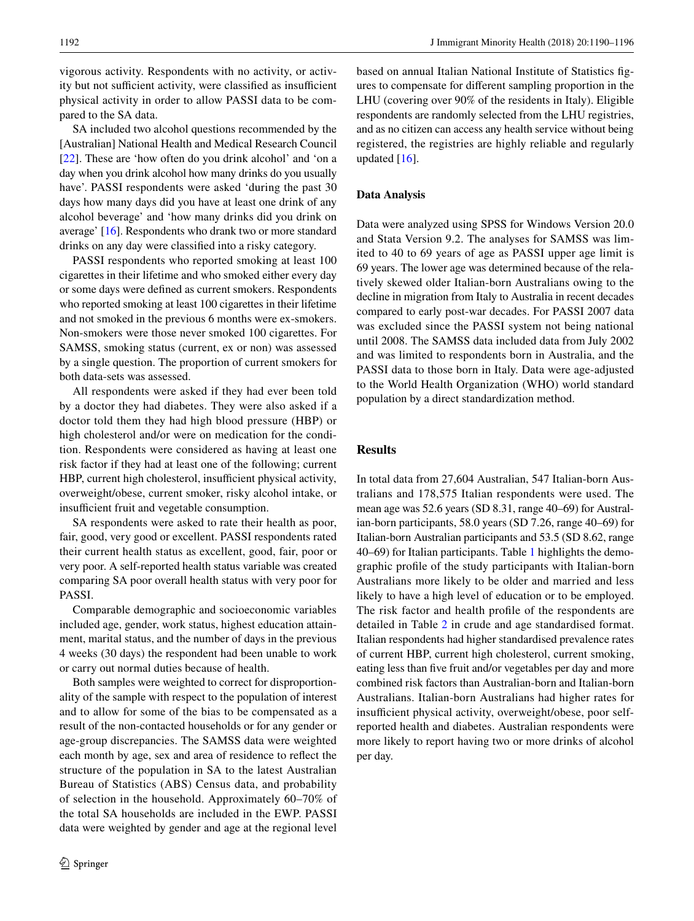vigorous activity. Respondents with no activity, or activity but not sufficient activity, were classified as insufficient physical activity in order to allow PASSI data to be compared to the SA data.

SA included two alcohol questions recommended by the [Australian] National Health and Medical Research Council [\[22\]](#page-6-19). These are 'how often do you drink alcohol' and 'on a day when you drink alcohol how many drinks do you usually have'. PASSI respondents were asked 'during the past 30 days how many days did you have at least one drink of any alcohol beverage' and 'how many drinks did you drink on average' [[16\]](#page-6-14). Respondents who drank two or more standard drinks on any day were classified into a risky category.

PASSI respondents who reported smoking at least 100 cigarettes in their lifetime and who smoked either every day or some days were defined as current smokers. Respondents who reported smoking at least 100 cigarettes in their lifetime and not smoked in the previous 6 months were ex-smokers. Non-smokers were those never smoked 100 cigarettes. For SAMSS, smoking status (current, ex or non) was assessed by a single question. The proportion of current smokers for both data-sets was assessed.

All respondents were asked if they had ever been told by a doctor they had diabetes. They were also asked if a doctor told them they had high blood pressure (HBP) or high cholesterol and/or were on medication for the condition. Respondents were considered as having at least one risk factor if they had at least one of the following; current HBP, current high cholesterol, insufficient physical activity, overweight/obese, current smoker, risky alcohol intake, or insufficient fruit and vegetable consumption.

SA respondents were asked to rate their health as poor, fair, good, very good or excellent. PASSI respondents rated their current health status as excellent, good, fair, poor or very poor. A self-reported health status variable was created comparing SA poor overall health status with very poor for PASSI.

Comparable demographic and socioeconomic variables included age, gender, work status, highest education attainment, marital status, and the number of days in the previous 4 weeks (30 days) the respondent had been unable to work or carry out normal duties because of health.

Both samples were weighted to correct for disproportionality of the sample with respect to the population of interest and to allow for some of the bias to be compensated as a result of the non-contacted households or for any gender or age-group discrepancies. The SAMSS data were weighted each month by age, sex and area of residence to reflect the structure of the population in SA to the latest Australian Bureau of Statistics (ABS) Census data, and probability of selection in the household. Approximately 60–70% of the total SA households are included in the EWP. PASSI data were weighted by gender and age at the regional level based on annual Italian National Institute of Statistics figures to compensate for different sampling proportion in the LHU (covering over 90% of the residents in Italy). Eligible respondents are randomly selected from the LHU registries, and as no citizen can access any health service without being registered, the registries are highly reliable and regularly updated  $[16]$  $[16]$  $[16]$ .

### **Data Analysis**

Data were analyzed using SPSS for Windows Version 20.0 and Stata Version 9.2. The analyses for SAMSS was limited to 40 to 69 years of age as PASSI upper age limit is 69 years. The lower age was determined because of the relatively skewed older Italian-born Australians owing to the decline in migration from Italy to Australia in recent decades compared to early post-war decades. For PASSI 2007 data was excluded since the PASSI system not being national until 2008. The SAMSS data included data from July 2002 and was limited to respondents born in Australia, and the PASSI data to those born in Italy. Data were age-adjusted to the World Health Organization (WHO) world standard population by a direct standardization method.

# **Results**

In total data from 27,604 Australian, 547 Italian-born Australians and 178,575 Italian respondents were used. The mean age was 52.6 years (SD 8.31, range 40–69) for Australian-born participants, 58.0 years (SD 7.26, range 40–69) for Italian-born Australian participants and 53.5 (SD 8.62, range 40–69) for Italian participants. Table [1](#page-3-0) highlights the demographic profile of the study participants with Italian-born Australians more likely to be older and married and less likely to have a high level of education or to be employed. The risk factor and health profile of the respondents are detailed in Table [2](#page-4-0) in crude and age standardised format. Italian respondents had higher standardised prevalence rates of current HBP, current high cholesterol, current smoking, eating less than five fruit and/or vegetables per day and more combined risk factors than Australian-born and Italian-born Australians. Italian-born Australians had higher rates for insufficient physical activity, overweight/obese, poor selfreported health and diabetes. Australian respondents were more likely to report having two or more drinks of alcohol per day.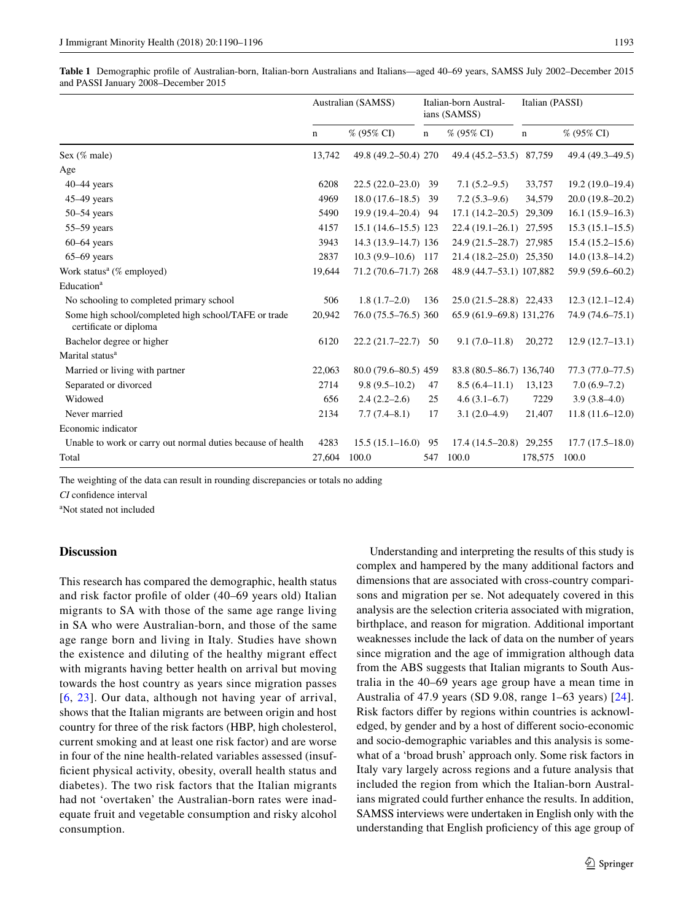<span id="page-3-0"></span>**Table 1** Demographic profile of Australian-born, Italian-born Australians and Italians—aged 40–69 years, SAMSS July 2002–December 2015 and PASSI January 2008–December 2015

|                                                                                | Australian (SAMSS) |                      |             | Italian-born Austral-<br>ians (SAMSS) | Italian (PASSI) |                     |
|--------------------------------------------------------------------------------|--------------------|----------------------|-------------|---------------------------------------|-----------------|---------------------|
|                                                                                | $\mathbf n$        | % (95% CI)           | $\mathbf n$ | % (95% CI)                            | $\mathbf n$     | % (95% CI)          |
| Sex (% male)                                                                   | 13,742             | 49.8 (49.2-50.4) 270 |             | 49.4 (45.2–53.5) 87,759               |                 | 49.4 (49.3-49.5)    |
| Age                                                                            |                    |                      |             |                                       |                 |                     |
| $40-44$ years                                                                  | 6208               | $22.5(22.0-23.0)$    | 39          | $7.1(5.2 - 9.5)$                      | 33,757          | $19.2(19.0-19.4)$   |
| $45-49$ years                                                                  | 4969               | $18.0(17.6-18.5)$    | 39          | $7.2(5.3-9.6)$                        | 34,579          | $20.0(19.8-20.2)$   |
| $50 - 54$ years                                                                | 5490               | 19.9 (19.4-20.4) 94  |             | 17.1 (14.2-20.5) 29,309               |                 | $16.1(15.9-16.3)$   |
| $55-59$ years                                                                  | 4157               | $15.1(14.6-15.5)123$ |             | $22.4(19.1-26.1)$                     | 27,595          | $15.3(15.1 - 15.5)$ |
| $60-64$ years                                                                  | 3943               | 14.3 (13.9–14.7) 136 |             | 24.9 (21.5–28.7) 27,985               |                 | $15.4(15.2 - 15.6)$ |
| $65-69$ years                                                                  | 2837               | $10.3(9.9-10.6)$ 117 |             | 21.4 (18.2–25.0) 25,350               |                 | $14.0(13.8-14.2)$   |
| Work status <sup>a</sup> (% employed)                                          | 19,644             | 71.2 (70.6-71.7) 268 |             | 48.9 (44.7–53.1) 107,882              |                 | 59.9 (59.6-60.2)    |
| Education <sup>a</sup>                                                         |                    |                      |             |                                       |                 |                     |
| No schooling to completed primary school                                       | 506                | $1.8(1.7-2.0)$       | 136         | 25.0 (21.5–28.8) 22,433               |                 | $12.3(12.1-12.4)$   |
| Some high school/completed high school/TAFE or trade<br>certificate or diploma | 20,942             | 76.0 (75.5–76.5) 360 |             | 65.9 (61.9–69.8) 131,276              |                 | 74.9 (74.6–75.1)    |
| Bachelor degree or higher                                                      | 6120               | $22.2(21.7-22.7)$    | -50         | $9.1(7.0-11.8)$                       | 20,272          | $12.9(12.7-13.1)$   |
| Marital status <sup>a</sup>                                                    |                    |                      |             |                                       |                 |                     |
| Married or living with partner                                                 | 22,063             | 80.0 (79.6-80.5) 459 |             | 83.8 (80.5–86.7) 136,740              |                 | $77.3(77.0 - 77.5)$ |
| Separated or divorced                                                          | 2714               | $9.8(9.5-10.2)$      | 47          | $8.5(6.4-11.1)$                       | 13,123          | $7.0(6.9-7.2)$      |
| Widowed                                                                        | 656                | $2.4(2.2-2.6)$       | 25          | $4.6(3.1-6.7)$                        | 7229            | $3.9(3.8-4.0)$      |
| Never married                                                                  | 2134               | 7.7(7.4–8.1)         | 17          | $3.1(2.0-4.9)$                        | 21,407          | $11.8(11.6 - 12.0)$ |
| Economic indicator                                                             |                    |                      |             |                                       |                 |                     |
| Unable to work or carry out normal duties because of health                    | 4283               | $15.5(15.1 - 16.0)$  | 95          | $17.4(14.5-20.8)$                     | 29,255          | $17.7(17.5-18.0)$   |
| Total                                                                          | 27,604             | 100.0                | 547         | 100.0                                 | 178,575         | 100.0               |

The weighting of the data can result in rounding discrepancies or totals no adding

*CI* confidence interval

a Not stated not included

# **Discussion**

This research has compared the demographic, health status and risk factor profile of older (40–69 years old) Italian migrants to SA with those of the same age range living in SA who were Australian-born, and those of the same age range born and living in Italy. Studies have shown the existence and diluting of the healthy migrant effect with migrants having better health on arrival but moving towards the host country as years since migration passes [[6](#page-6-5), [23](#page-6-20)]. Our data, although not having year of arrival, shows that the Italian migrants are between origin and host country for three of the risk factors (HBP, high cholesterol, current smoking and at least one risk factor) and are worse in four of the nine health-related variables assessed (insufficient physical activity, obesity, overall health status and diabetes). The two risk factors that the Italian migrants had not 'overtaken' the Australian-born rates were inadequate fruit and vegetable consumption and risky alcohol consumption.

Understanding and interpreting the results of this study is complex and hampered by the many additional factors and dimensions that are associated with cross-country comparisons and migration per se. Not adequately covered in this analysis are the selection criteria associated with migration, birthplace, and reason for migration. Additional important weaknesses include the lack of data on the number of years since migration and the age of immigration although data from the ABS suggests that Italian migrants to South Australia in the 40–69 years age group have a mean time in Australia of 47.9 years (SD 9.08, range 1–63 years) [[24](#page-6-21)]. Risk factors differ by regions within countries is acknowledged, by gender and by a host of different socio-economic and socio-demographic variables and this analysis is somewhat of a 'broad brush' approach only. Some risk factors in Italy vary largely across regions and a future analysis that included the region from which the Italian-born Australians migrated could further enhance the results. In addition, SAMSS interviews were undertaken in English only with the understanding that English proficiency of this age group of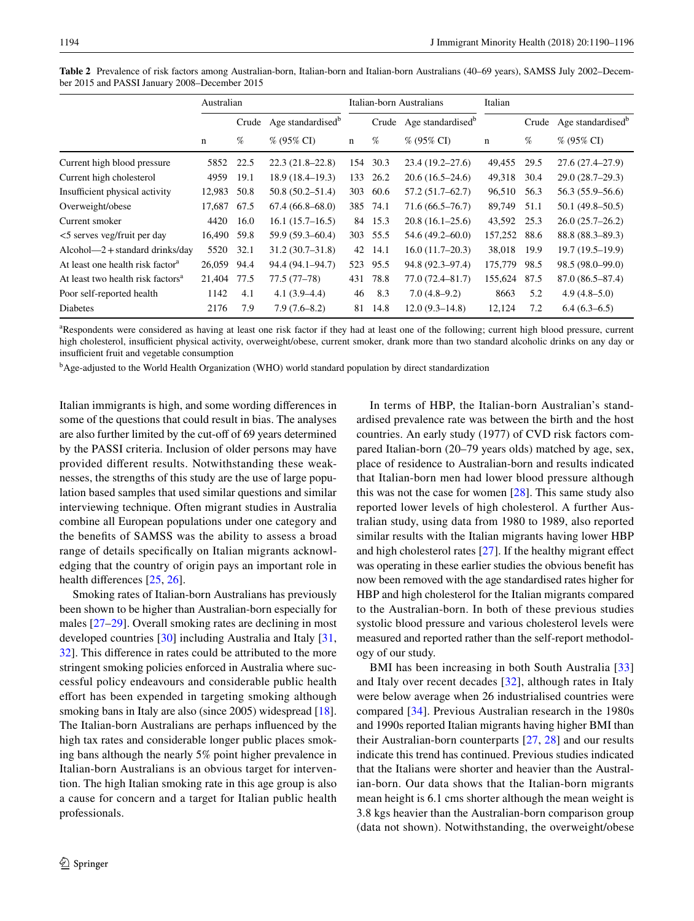|                                               | Australian  |       |                               | Italian-born Australians |          |                               | Italian     |       |                               |
|-----------------------------------------------|-------------|-------|-------------------------------|--------------------------|----------|-------------------------------|-------------|-------|-------------------------------|
|                                               |             | Crude | Age standardised <sup>b</sup> |                          | Crude    | Age standardised <sup>b</sup> |             | Crude | Age standardised <sup>b</sup> |
|                                               | $\mathbf n$ | %     | $% (95\% CI)$                 | $\mathbf n$              | %        | $% (95\% CI)$                 | $\mathbf n$ | %     | $% (95\% CI)$                 |
| Current high blood pressure                   | 5852        | 22.5  | $22.3(21.8-22.8)$             | 154                      | 30.3     | $23.4(19.2 - 27.6)$           | 49,455      | 29.5  | $27.6(27.4 - 27.9)$           |
| Current high cholesterol                      | 4959        | 19.1  | 18.9(18.4–19.3)               | 133                      | 26.2     | $20.6(16.5-24.6)$             | 49,318      | 30.4  | $29.0(28.7-29.3)$             |
| Insufficient physical activity                | 12,983      | 50.8  | $50.8(50.2 - 51.4)$           | 303                      | 60.6     | $57.2(51.7 - 62.7)$           | 96,510      | 56.3  | $56.3(55.9-56.6)$             |
| Overweight/obese                              | 17,687      | 67.5  | 67.4(66.8–68.0)               | 385                      | 74.1     | $71.6(66.5 - 76.7)$           | 89,749      | 51.1  | $50.1(49.8-50.5)$             |
| Current smoker                                | 4420        | 16.0  | $16.1(15.7-16.5)$             | 84                       | 15.3     | $20.8(16.1-25.6)$             | 43,592      | 25.3  | $26.0(25.7-26.2)$             |
| $<$ 5 serves veg/fruit per day                | 16,490      | 59.8  | $59.9(59.3 - 60.4)$           |                          | 303 55.5 | $54.6(49.2 - 60.0)$           | 157,252     | 88.6  | $88.8(88.3 - 89.3)$           |
| Alcohol— $2 +$ standard drinks/day            | 5520        | 32.1  | $31.2(30.7-31.8)$             | 42                       | 14.1     | $16.0(11.7-20.3)$             | 38,018      | 19.9  | $19.7(19.5-19.9)$             |
| At least one health risk factor <sup>a</sup>  | 26,059      | 94.4  | 94.4 (94.1–94.7)              | 523                      | 95.5     | 94.8 (92.3–97.4)              | 175,779     | 98.5  | 98.5 (98.0–99.0)              |
| At least two health risk factors <sup>a</sup> | 21,404      | 77.5  | $77.5(77-78)$                 | 431                      | 78.8     | $77.0(72.4 - 81.7)$           | 155,624     | 87.5  | $87.0(86.5 - 87.4)$           |
| Poor self-reported health                     | 1142        | 4.1   | $4.1(3.9-4.4)$                | 46                       | 8.3      | $7.0(4.8-9.2)$                | 8663        | 5.2   | $4.9(4.8-5.0)$                |
| <b>Diabetes</b>                               | 2176        | 7.9   | $7.9(7.6-8.2)$                | 81                       | 14.8     | $12.0(9.3-14.8)$              | 12,124      | 7.2   | $6.4(6.3-6.5)$                |

<span id="page-4-0"></span>**Table 2** Prevalence of risk factors among Australian-born, Italian-born and Italian-born Australians (40–69 years), SAMSS July 2002–December 2015 and PASSI January 2008–December 2015

<sup>a</sup>Respondents were considered as having at least one risk factor if they had at least one of the following; current high blood pressure, current high cholesterol, insufficient physical activity, overweight/obese, current smoker, drank more than two standard alcoholic drinks on any day or insufficient fruit and vegetable consumption

<sup>b</sup>Age-adjusted to the World Health Organization (WHO) world standard population by direct standardization

Italian immigrants is high, and some wording differences in some of the questions that could result in bias. The analyses are also further limited by the cut-off of 69 years determined by the PASSI criteria. Inclusion of older persons may have provided different results. Notwithstanding these weaknesses, the strengths of this study are the use of large population based samples that used similar questions and similar interviewing technique. Often migrant studies in Australia combine all European populations under one category and the benefits of SAMSS was the ability to assess a broad range of details specifically on Italian migrants acknowledging that the country of origin pays an important role in health differences [\[25](#page-6-22), [26\]](#page-6-23).

Smoking rates of Italian-born Australians has previously been shown to be higher than Australian-born especially for males [\[27](#page-6-24)[–29\]](#page-6-25). Overall smoking rates are declining in most developed countries [\[30](#page-6-26)] including Australia and Italy [[31,](#page-6-27) [32](#page-6-28)]. This difference in rates could be attributed to the more stringent smoking policies enforced in Australia where successful policy endeavours and considerable public health effort has been expended in targeting smoking although smoking bans in Italy are also (since 2005) widespread [\[18](#page-6-15)]. The Italian-born Australians are perhaps influenced by the high tax rates and considerable longer public places smoking bans although the nearly 5% point higher prevalence in Italian-born Australians is an obvious target for intervention. The high Italian smoking rate in this age group is also a cause for concern and a target for Italian public health professionals.

In terms of HBP, the Italian-born Australian's standardised prevalence rate was between the birth and the host countries. An early study (1977) of CVD risk factors compared Italian-born (20–79 years olds) matched by age, sex, place of residence to Australian-born and results indicated that Italian-born men had lower blood pressure although this was not the case for women [\[28](#page-6-29)]. This same study also reported lower levels of high cholesterol. A further Australian study, using data from 1980 to 1989, also reported similar results with the Italian migrants having lower HBP and high cholesterol rates [\[27](#page-6-24)]. If the healthy migrant effect was operating in these earlier studies the obvious benefit has now been removed with the age standardised rates higher for HBP and high cholesterol for the Italian migrants compared to the Australian-born. In both of these previous studies systolic blood pressure and various cholesterol levels were measured and reported rather than the self-report methodology of our study.

BMI has been increasing in both South Australia [[33\]](#page-6-30) and Italy over recent decades [[32\]](#page-6-28), although rates in Italy were below average when 26 industrialised countries were compared [[34](#page-6-31)]. Previous Australian research in the 1980s and 1990s reported Italian migrants having higher BMI than their Australian-born counterparts [[27](#page-6-24), [28\]](#page-6-29) and our results indicate this trend has continued. Previous studies indicated that the Italians were shorter and heavier than the Australian-born. Our data shows that the Italian-born migrants mean height is 6.1 cms shorter although the mean weight is 3.8 kgs heavier than the Australian-born comparison group (data not shown). Notwithstanding, the overweight/obese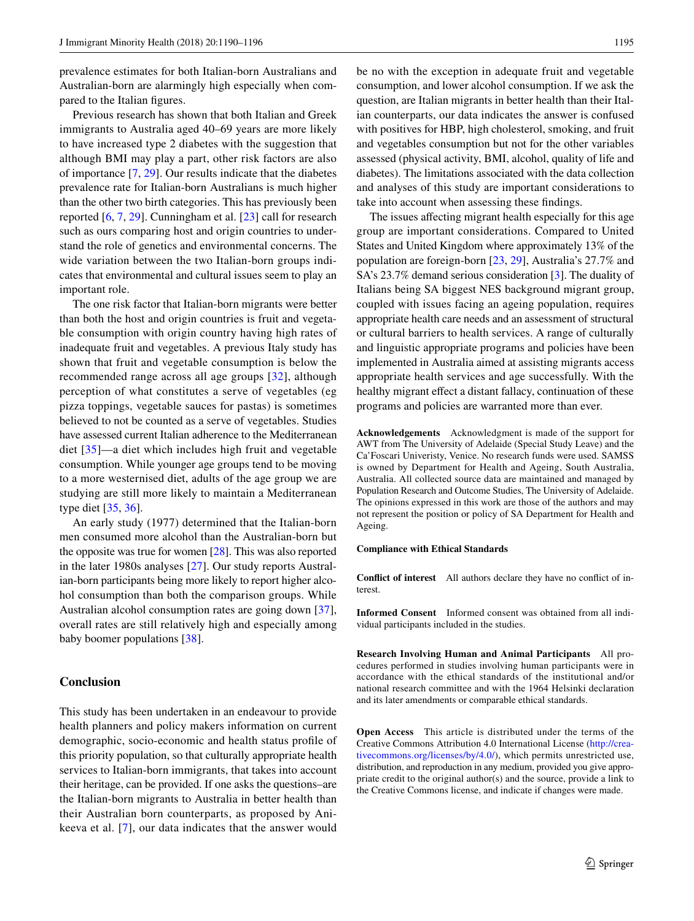prevalence estimates for both Italian-born Australians and Australian-born are alarmingly high especially when compared to the Italian figures.

Previous research has shown that both Italian and Greek immigrants to Australia aged 40–69 years are more likely to have increased type 2 diabetes with the suggestion that although BMI may play a part, other risk factors are also of importance [\[7,](#page-6-6) [29\]](#page-6-25). Our results indicate that the diabetes prevalence rate for Italian-born Australians is much higher than the other two birth categories. This has previously been reported [[6,](#page-6-5) [7,](#page-6-6) [29\]](#page-6-25). Cunningham et al. [[23](#page-6-20)] call for research such as ours comparing host and origin countries to understand the role of genetics and environmental concerns. The wide variation between the two Italian-born groups indicates that environmental and cultural issues seem to play an important role.

The one risk factor that Italian-born migrants were better than both the host and origin countries is fruit and vegetable consumption with origin country having high rates of inadequate fruit and vegetables. A previous Italy study has shown that fruit and vegetable consumption is below the recommended range across all age groups [\[32\]](#page-6-28), although perception of what constitutes a serve of vegetables (eg pizza toppings, vegetable sauces for pastas) is sometimes believed to not be counted as a serve of vegetables. Studies have assessed current Italian adherence to the Mediterranean diet [[35](#page-6-32)]—a diet which includes high fruit and vegetable consumption. While younger age groups tend to be moving to a more westernised diet, adults of the age group we are studying are still more likely to maintain a Mediterranean type diet [[35,](#page-6-32) [36\]](#page-6-33).

An early study (1977) determined that the Italian-born men consumed more alcohol than the Australian-born but the opposite was true for women [\[28](#page-6-29)]. This was also reported in the later 1980s analyses [[27\]](#page-6-24). Our study reports Australian-born participants being more likely to report higher alcohol consumption than both the comparison groups. While Australian alcohol consumption rates are going down [\[37](#page-6-34)], overall rates are still relatively high and especially among baby boomer populations [\[38](#page-6-35)].

# **Conclusion**

This study has been undertaken in an endeavour to provide health planners and policy makers information on current demographic, socio-economic and health status profile of this priority population, so that culturally appropriate health services to Italian-born immigrants, that takes into account their heritage, can be provided. If one asks the questions–are the Italian-born migrants to Australia in better health than their Australian born counterparts, as proposed by Anikeeva et al. [[7](#page-6-6)], our data indicates that the answer would

be no with the exception in adequate fruit and vegetable consumption, and lower alcohol consumption. If we ask the question, are Italian migrants in better health than their Italian counterparts, our data indicates the answer is confused with positives for HBP, high cholesterol, smoking, and fruit and vegetables consumption but not for the other variables assessed (physical activity, BMI, alcohol, quality of life and diabetes). The limitations associated with the data collection and analyses of this study are important considerations to take into account when assessing these findings.

The issues affecting migrant health especially for this age group are important considerations. Compared to United States and United Kingdom where approximately 13% of the population are foreign-born [\[23](#page-6-20), [29](#page-6-25)], Australia's 27.7% and SA's 23.7% demand serious consideration [\[3\]](#page-6-2). The duality of Italians being SA biggest NES background migrant group, coupled with issues facing an ageing population, requires appropriate health care needs and an assessment of structural or cultural barriers to health services. A range of culturally and linguistic appropriate programs and policies have been implemented in Australia aimed at assisting migrants access appropriate health services and age successfully. With the healthy migrant effect a distant fallacy, continuation of these programs and policies are warranted more than ever.

**Acknowledgements** Acknowledgment is made of the support for AWT from The University of Adelaide (Special Study Leave) and the Ca'Foscari Univeristy, Venice. No research funds were used. SAMSS is owned by Department for Health and Ageing, South Australia, Australia. All collected source data are maintained and managed by Population Research and Outcome Studies, The University of Adelaide. The opinions expressed in this work are those of the authors and may not represent the position or policy of SA Department for Health and Ageing.

#### **Compliance with Ethical Standards**

**Conflict of interest** All authors declare they have no conflict of interest.

**Informed Consent** Informed consent was obtained from all individual participants included in the studies.

**Research Involving Human and Animal Participants** All procedures performed in studies involving human participants were in accordance with the ethical standards of the institutional and/or national research committee and with the 1964 Helsinki declaration and its later amendments or comparable ethical standards.

**Open Access** This article is distributed under the terms of the Creative Commons Attribution 4.0 International License ([http://crea](http://creativecommons.org/licenses/by/4.0/)[tivecommons.org/licenses/by/4.0/\)](http://creativecommons.org/licenses/by/4.0/), which permits unrestricted use, distribution, and reproduction in any medium, provided you give appropriate credit to the original author(s) and the source, provide a link to the Creative Commons license, and indicate if changes were made.